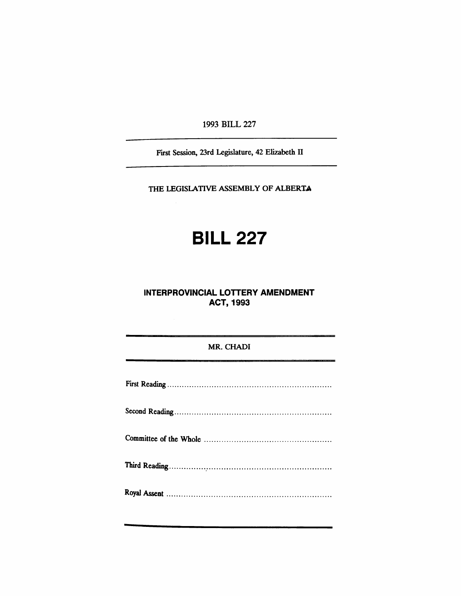1993 BILL 227

First Session, 23rd Legislature, 42 Elizabeth II

THE LEGISLATIVE ASSEMBLY OF ALBERTA

# **BILL 227**

## **INTERPROVINCIAL LOTTERY AMENDMENT** ACT, 1993

### MR. CHADI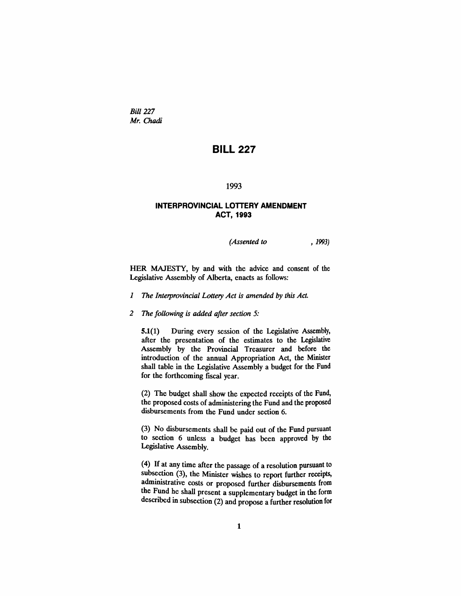*Bill* 227 *Mr. Chadi*

# **BILL 227**

#### 1993

#### **INTERPROVINCIAL LOTTERY AMENDMENT** ACT, 1993

*(Assented to* , 1993)

HER MAJESTY, by and with the advice and consent of the Legislative Assembly of Alberta, enacts as follows:

- *1 The Interprovincial Lottery Act is amended* by *this Act.*
- *2 The following is added after section 5:*

5.1(1) During every session of the Legislative Assembly, after the presentation of the estimates to the Legislative Assembly by the Provincial Treasurer and before the introduction of the annual Appropriation Act, the Minister shall table in the Legislative Assembly a budget for the Fund for the forthcoming fiscal year.

(2) The budget shall show the expected receipts of the Fund, the proposed costs of administering the Fund and the proposed disbursements from the Fund under section 6.

(3) No disbursements shall be paid out of the Fund pursuant to section 6 unless a budget has been approved by the Legislative Assembly.

(4) If at any time after the passage of a resolution pursuant to subsection (3), the Minister wishes to report further receipts, administrative costs or proposed further disbursements from the Fund he shall present a supplementary budget in the form described in subsection (2) and propose a further resolution for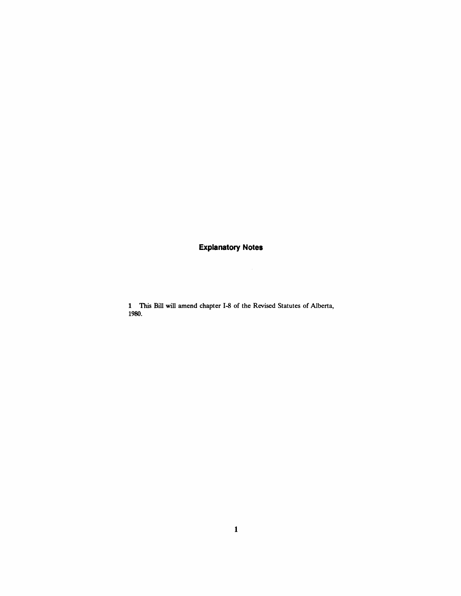## **Explanatory Notes**

1 This Bill will amend chapter 1-8 of the Revised Statutes of Alberta, 1980.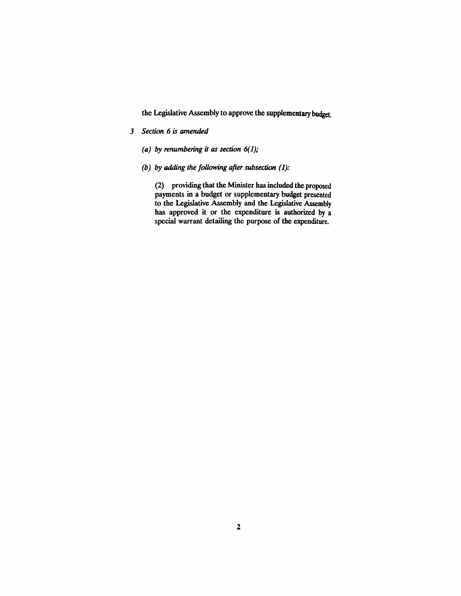the Legislative Assembly to approve the supplementary budget.

- *3 Section* 6 *is amended*
	- *(a) by renumbering it as section*  $6(1)$ ;
	- *(b) by adding the following after subsection* (1):

(2) providing that the Minister has included the proposed payments in a budget or supplementary budget presented to the Legislative Assembly and the Legislative Assembly has approved it or the expenditure is authorized by a special warrant detailing the purpose of the expenditure.